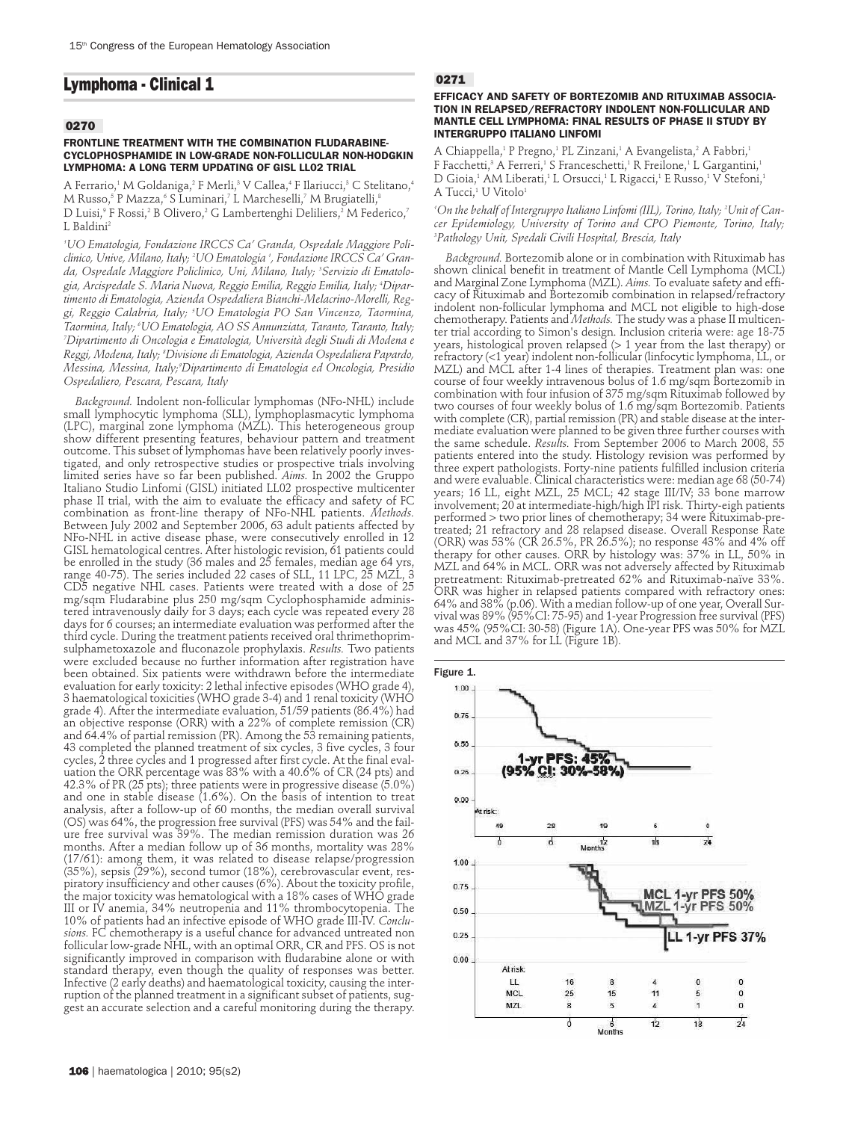# **Lymphoma - Clinical 1**

## **0270**

#### **FRONTLINE TREATMENT WITH THE COMBINATION FLUDARABINE-CYCLOPHOSPHAMIDE IN LOW-GRADE NON-FOLLICULAR NON-HODGKIN LYMPHOMA: A LONG TERM UPDATING OF GISL LL02 TRIAL**

A Ferrario,<sup>1</sup> M Goldaniga,<sup>2</sup> F Merli,<sup>3</sup> V Callea,<sup>4</sup> F Ilariucci,<sup>3</sup> C Stelitano,<sup>4</sup> M Russo,<sup>5</sup> P Mazza,<sup>6</sup> S Luminari,<sup>7</sup> L Marcheselli,<sup>7</sup> M Brugiatelli,<sup>8</sup> D Luisi,<sup>9</sup> F Rossi,<sup>2</sup> B Olivero,<sup>2</sup> G Lambertenghi Deliliers,<sup>2</sup> M Federico,<sup>7</sup> L Baldini<sup>2</sup>

*1 UO Ematologia, Fondazione IRCCS Ca' Granda, Ospedale Maggiore Policlinico, Unive, Milano, Italy; 2 UO Ematologia 1 , Fondazione IRCCS Ca' Granda, Ospedale Maggiore Policlinico, Uni, Milano, Italy; 3 Servizio di Ematologia, Arcispedale S. Maria Nuova, Reggio Emilia, Reggio Emilia, Italy; 4 Dipartimento di Ematologia, Azienda Ospedaliera Bianchi-Melacrino-Morelli, Reggi, Reggio Calabria, Italy; 5 UO Ematologia PO San Vincenzo, Taormina, Taormina, Italy; 6 UO Ematologia, AO SS Annunziata, Taranto, Taranto, Italy; 7 Dipartimento di Oncologia e Ematologia, Università degli Studi di Modena e Reggi, Modena, Italy; 8 Divisione di Ematologia, Azienda Ospedaliera Papardo, Messina, Messina, Italy;9 Dipartimento di Ematologia ed Oncologia, Presidio Ospedaliero, Pescara, Pescara, Italy*

*Background.* Indolent non-follicular lymphomas (NFo-NHL) include small lymphocytic lymphoma (SLL), lymphoplasmacytic lymphoma (LPC), marginal zone lymphoma (MZL). This heterogeneous group show different presenting features, behaviour pattern and treatment outcome. This subset of lymphomas have been relatively poorly investigated, and only retrospective studies or prospective trials involving limited series have so far been published. *Aims.* In 2002 the Gruppo Italiano Studio Linfomi (GISL) initiated LL02 prospective multicenter phase II trial, with the aim to evaluate the efficacy and safety of FC combination as front-line therapy of NFo-NHL patients. *Methods.* Between July 2002 and September 2006, 63 adult patients affected by NFo-NHL in active disease phase, were consecutively enrolled in 12 GISL hematological centres. After histologic revision, 61 patients could be enrolled in the study (36 males and 25 females, median age 64 yrs, range 40-75). The series included 22 cases of SLL, 11 LPC, 25 MZL, 3 CD5 negative NHL cases. Patients were treated with a dose of 25 mg/sqm Fludarabine plus 250 mg/sqm Cyclophosphamide administered intravenously daily for 3 days; each cycle was repeated every 28 days for 6 courses; an intermediate evaluation was performed after the third cycle. During the treatment patients received oral thrimethoprimsulphametoxazole and fluconazole prophylaxis. *Results.* Two patients were excluded because no further information after registration have been obtained. Six patients were withdrawn before the intermediate evaluation for early toxicity: 2 lethal infective episodes (WHO grade 4), 3 haematological toxicities (WHO grade 3-4) and 1 renal toxicity (WHO grade 4). After the intermediate evaluation, 51/59 patients (86.4%) had an objective response (ORR) with a 22% of complete remission (CR) and 64.4% of partial remission (PR). Among the 53 remaining patients, 43 completed the planned treatment of six cycles, 3 five cycles, 3 four cycles, 2 three cycles and 1 progressed after first cycle. At the final evaluation the ORR percentage was 83% with a 40.6% of CR (24 pts) and 42.3% of PR (25 pts); three patients were in progressive disease (5.0%) and one in stable disease (1.6%). On the basis of intention to treat analysis, after a follow-up of 60 months, the median overall survival (OS) was 64%, the progression free survival (PFS) was 54% and the failure free survival was 39%. The median remission duration was 26 months. After a median follow up of 36 months, mortality was 28% (17/61): among them, it was related to disease relapse/progression (35%), sepsis (29%), second tumor (18%), cerebrovascular event, respiratory insufficiency and other causes (6%). About the toxicity profile, the major toxicity was hematological with a 18% cases of WHO grade III or IV anemia, 34% neutropenia and 11% thrombocytopenia. The 10% of patients had an infective episode of WHO grade III-IV. *Conclusions.* FC chemotherapy is a useful chance for advanced untreated non follicular low-grade NHL, with an optimal ORR, CR and PFS. OS is not significantly improved in comparison with fludarabine alone or with standard therapy, even though the quality of responses was better. Infective (2 early deaths) and haematological toxicity, causing the interruption of the planned treatment in a significant subset of patients, suggest an accurate selection and a careful monitoring during the therapy.

## **0271**

### **EFFICACY AND SAFETY OF BORTEZOMIB AND RITUXIMAB ASSOCIA-TION IN RELAPSED/REFRACTORY INDOLENT NON-FOLLICULAR AND MANTLE CELL LYMPHOMA: FINAL RESULTS OF PHASE II STUDY BY INTERGRUPPO ITALIANO LINFOMI**

A Chiappella,<sup>1</sup> P Pregno,<sup>1</sup> PL Zinzani,<sup>1</sup> A Evangelista,<sup>2</sup> A Fabbri,<sup>1</sup> F Facchetti,<sup>3</sup> A Ferreri,<sup>1</sup> S Franceschetti,<sup>1</sup> R Freilone,<sup>1</sup> L Gargantini,<sup>1</sup> D Gioia,<sup>1</sup> AM Liberati,<sup>1</sup> L Orsucci,<sup>1</sup> L Rigacci,<sup>1</sup> E Russo,<sup>1</sup> V Stefoni,<sup>1</sup> A Tucci,<sup>1</sup> U Vitolo<sup>1</sup>

*1 On the behalf of Intergruppo Italiano Linfomi (IIL), Torino, Italy; 2 Unit of Cancer Epidemiology, University of Torino and CPO Piemonte, Torino, Italy; 3 Pathology Unit, Spedali Civili Hospital, Brescia, Italy*

*Background.* Bortezomib alone or in combination with Rituximab has shown clinical benefit in treatment of Mantle Cell Lymphoma (MCL) and Marginal Zone Lymphoma (MZL). *Aims.* To evaluate safety and efficacy of Rituximab and Bortezomib combination in relapsed/refractory indolent non-follicular lymphoma and MCL not eligible to high-dose chemotherapy. Patients and *Methods.* The study was a phase II multicenter trial according to Simon's design. Inclusion criteria were: age 18-75 years, histological proven relapsed (> 1 year from the last therapy) or refractory (<1 year) indolent non-follicular (linfocytic lymphoma, LL, or MZL) and MCL after 1-4 lines of therapies. Treatment plan was: one course of four weekly intravenous bolus of 1.6 mg/sqm Bortezomib in combination with four infusion of 375 mg/sqm Rituximab followed by two courses of four weekly bolus of 1.6 mg/sqm Bortezomib. Patients with complete (CR), partial remission (PR) and stable disease at the intermediate evaluation were planned to be given three further courses with the same schedule. *Results.* From September 2006 to March 2008, 55 patients entered into the study. Histology revision was performed by three expert pathologists. Forty-nine patients fulfilled inclusion criteria and were evaluable. Clinical characteristics were: median age 68 (50-74) years; 16 LL, eight MZL, 25 MCL; 42 stage III/IV; 33 bone marrow involvement; 20 at intermediate-high/high IPI risk. Thirty-eigh patients performed > two prior lines of chemotherapy; 34 were Rituximab-pretreated; 21 refractory and 28 relapsed disease. Overall Response Rate (ORR) was 53% (CR 26.5%, PR 26.5%); no response 43% and 4% off therapy for other causes. ORR by histology was: 37% in LL, 50% in MZL and 64% in MCL. ORR was not adversely affected by Rituximab pretreatment: Rituximab-pretreated 62% and Rituximab-naïve 33%. ORR was higher in relapsed patients compared with refractory ones: 64% and 38% (p.06). With a median follow-up of one year, Overall Survival was 89% (95%CI: 75-95) and 1-year Progression free survival (PFS) was 45% (95%CI: 30-58) (Figure 1A). One-year PFS was 50% for MZL and MCL and 37% for LL (Figure 1B).